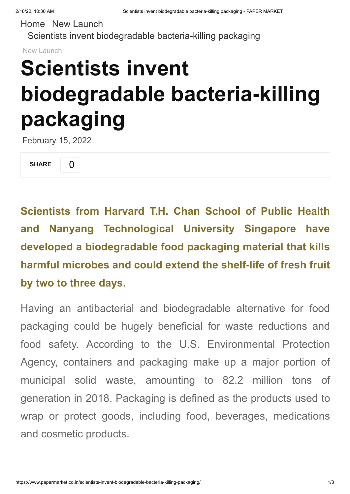[Home](https://www.papermarket.co.in/) New [Launch](https://www.papermarket.co.in/category/new-launch/) Scientists invent biodegradable [bacteria-killing](https://www.papermarket.co.in/scientists-invent-biodegradable-bacteria-killing-packaging/) packaging

[New Launch](https://www.papermarket.co.in/category/new-launch/)

## **Scientists invent biodegradable bacteria-killing packaging**

February 15, 2022

SHARE [0](https://www.papermarket.co.in/scientists-invent-biodegradable-bacteria-killing-packaging/#)

**Scientists from Harvard T.H. Chan School of Public Health and Nanyang Technological University Singapore have developed a biodegradable food packaging material that kills harmful microbes and could extend the shelf-life of fresh fruit by two to three days.**

Having an antibacterial and biodegradable alternative for food packaging could be hugely beneficial for waste reductions and food safety. According to the U.S. Environmental Protection Agency, containers and packaging make up a major portion of municipal solid waste, amounting to 82.2 million tons of generation in 2018. Packaging is defined as the products used to wrap or protect goods, including food, beverages, medications and cosmetic products.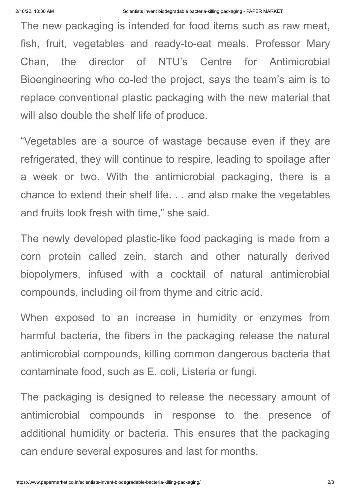The new packaging is intended for food items such as raw meat, fish, fruit, vegetables and ready-to-eat meals. Professor Mary Chan, the director of NTU's Centre for Antimicrobial Bioengineering who co-led the project, says the team's aim is to replace conventional plastic packaging with the new material that will also double the shelf life of produce.

"Vegetables are a source of wastage because even if they are refrigerated, they will continue to respire, leading to spoilage after a week or two. With the antimicrobial packaging, there is a chance to extend their shelf life. . . and also make the vegetables and fruits look fresh with time," she said.

The newly developed plastic-like food packaging is made from a corn protein called zein, starch and other naturally derived biopolymers, infused with a cocktail of natural antimicrobial compounds, including oil from thyme and citric acid.

When exposed to an increase in humidity or enzymes from harmful bacteria, the fibers in the packaging release the natural antimicrobial compounds, killing common dangerous bacteria that contaminate food, such as E. coli, Listeria or fungi.

The packaging is designed to release the necessary amount of antimicrobial compounds in response to the presence of additional humidity or bacteria. This ensures that the packaging can endure several exposures and last for months.